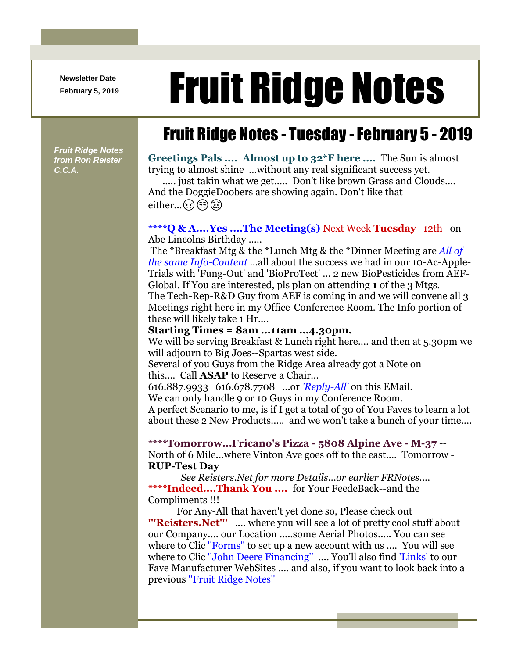**Newsletter Date**

# Newsletter Date **Fruit Ridge Notes**

## Fruit Ridge Notes - Tuesday -February 5 - 2019

*Fruit Ridge Notes from Ron Reister C.C.A.*

**Greetings Pals .... Almost up to 32\*F here ....** The Sun is almost trying to almost shine ...without any real significant success yet.

..... just takin what we get..... Don't like brown Grass and Clouds.... And the DoggieDoobers are showing again. Don't like that either... $\Omega$  $\bigcirc$ 

#### **\*\*\*\*Q & A....Yes ....The Meeting(s)** Next Week **Tuesday**--12th--on Abe Lincolns Birthday .....

The \*Breakfast Mtg & the \*Lunch Mtg & the \*Dinner Meeting are *All of the same Info-Content* ...all about the success we had in our 10-Ac-Apple-Trials with 'Fung-Out' and 'BioProTect' ... 2 new BioPesticides from AEF-Global. If You are interested, pls plan on attending **1** of the 3 Mtgs. The Tech-Rep-R&D Guy from AEF is coming in and we will convene all 3 Meetings right here in my Office-Conference Room. The Info portion of these will likely take 1 Hr....

#### **Starting Times = 8am ...11am ...4.30pm.**

We will be serving Breakfast & Lunch right here.... and then at 5.30pm we will adjourn to Big Joes--Spartas west side.

Several of you Guys from the Ridge Area already got a Note on this.... Call **ASAP** to Reserve a Chair...

616.887.9933 616.678.7708 ...or *'Reply-All'* on this EMail.

We can only handle 9 or 10 Guys in my Conference Room.

A perfect Scenario to me, is if I get a total of 30 of You Faves to learn a lot about these 2 New Products..... and we won't take a bunch of your time....

**\*\*\*\*Tomorrow...Fricano's Pizza - 5808 Alpine Ave - M-37** -- North of 6 Mile...where Vinton Ave goes off to the east.... Tomorrow - **RUP-Test Day**

*See Reisters.Net for more Details...or earlier FRNotes....* **\*\*\*\*Indeed....Thank You ....** for Your FeedeBack--and the Compliments !!!

For Any-All that haven't yet done so, Please check out **'''Reisters.Net'''** .... where you will see a lot of pretty cool stuff about our Company.... our Location .....some Aerial Photos..... You can see where to Clic "Forms" to set up a new account with us .... You will see where to Clic ''John Deere Financing'' .... You'll also find 'Links' to our Fave Manufacturer WebSites .... and also, if you want to look back into a previous ''Fruit Ridge Notes''